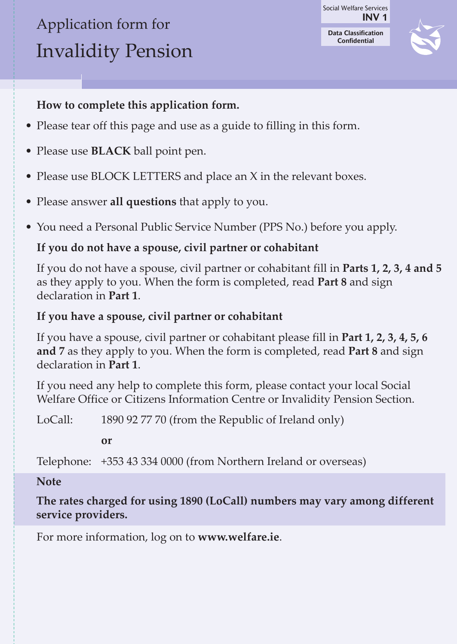# Application form for Invalidity Pension

**INV 1 Data Classification Confidential** Social Welfare Services



### **How to complete this application form.**

- Please tear off this page and use as a guide to filling in this form.
- Please use **bLaCk** ball point pen.
- Please use BLOCK LETTERS and place an X in the relevant boxes.
- Please answer **all questions** that apply to you.
- You need a Personal Public Service Number (PPS No.) before you apply.

### **If you do not have a spouse, civil partner or cohabitant**

If you do not have a spouse, civil partner or cohabitant fill in **Parts 1, 2, 3, 4 and 5** as they apply to you. When the form is completed, read **Part 8** and sign declaration in **Part 1**.

### **If you have a spouse, civil partner or cohabitant**

If you have a spouse, civil partner or cohabitant please fill in **Part 1, 2, 3, 4, 5, 6 and 7** as they apply to you. When the form is completed, read **Part 8** and sign declaration in **Part 1**.

If you need any help to complete this form, please contact your local Social Welfare Office or Citizens Information Centre or Invalidity Pension Section.

LoCall: 1890 92 77 70 (from the Republic of Ireland only)

**or**

Telephone: +353 43 334 0000 (from Northern Ireland or overseas)

### **Note**

**The rates charged for using 1890 (LoCall) numbers may vary among different service providers.**

For more information, log on to **www.welfare.ie**.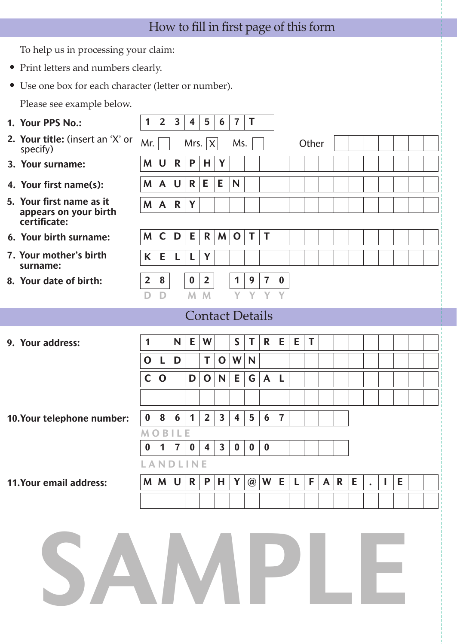## How to fill in first page of this form

To help us in processing your claim:

- Print letters and numbers clearly.
- Use one box for each character (letter or number).

Please see example below.

| 1. Your PPS No.:                                                  | 1                | $\overline{2}$ | $\mathbf{3}$   | 4                                                           | 5                       | 6                      | $\overline{7}$          | T        |                |                |   |       |  |  |                           |  |
|-------------------------------------------------------------------|------------------|----------------|----------------|-------------------------------------------------------------|-------------------------|------------------------|-------------------------|----------|----------------|----------------|---|-------|--|--|---------------------------|--|
| 2. Your title: (insert an 'X' or<br>specify)                      | Mr.              |                |                | Mrs. $ X $                                                  |                         |                        | Ms.                     |          |                |                |   | Other |  |  |                           |  |
| 3. Your surname:                                                  | M                | U              | R              | P                                                           | н                       | Y                      |                         |          |                |                |   |       |  |  |                           |  |
| 4. Your first name(s):                                            | <b>M</b>         | $\mathsf{A}$   | U              | R                                                           | E                       | E                      | N                       |          |                |                |   |       |  |  |                           |  |
| 5. Your first name as it<br>appears on your birth<br>certificate: | <b>M</b>         | $\mathsf{A}$   | $\mathsf{R}$   | Y                                                           |                         |                        |                         |          |                |                |   |       |  |  |                           |  |
| 6. Your birth surname:                                            | M                | C              | D              | E.                                                          | R                       | M                      | $\mathbf 0$             | T        | T              |                |   |       |  |  |                           |  |
| 7. Your mother's birth<br>surname:                                | K                | E              | L              | L                                                           | Y                       |                        |                         |          |                |                |   |       |  |  |                           |  |
| 8. Your date of birth:                                            | $\overline{2}$   | 8              |                | $\bf{0}$                                                    | $\overline{2}$          |                        | 1                       | 9        | $\overline{7}$ | $\bf{0}$       |   |       |  |  |                           |  |
|                                                                   | D                | D              |                | M                                                           | M                       |                        | Y                       | Y        | Y              | Y              |   |       |  |  |                           |  |
|                                                                   |                  |                |                |                                                             |                         | <b>Contact Details</b> |                         |          |                |                |   |       |  |  |                           |  |
| 9. Your address:                                                  | 1                |                | N              | Е                                                           | W                       |                        | $\mathsf{S}$            | T        | R              | E              | Е | T     |  |  |                           |  |
|                                                                   | O                | L              | D              |                                                             | T                       | $\mathbf 0$            | W                       | N        |                |                |   |       |  |  |                           |  |
|                                                                   | $\mathsf{C}$     | $\mathbf 0$    |                | D                                                           | $\mathbf 0$             | $\mathsf{N}$           | E                       | G        | A              | L              |   |       |  |  |                           |  |
|                                                                   |                  |                |                |                                                             |                         |                        |                         |          |                |                |   |       |  |  |                           |  |
|                                                                   | $\bf{0}$         | 8              | 6              | $\mathbf 1$                                                 | $\overline{2}$          | 3                      | $\overline{\mathbf{4}}$ | 5        | 6              | $\overline{7}$ |   |       |  |  |                           |  |
| 10.Your telephone number:                                         |                  | B              | LΕ             |                                                             |                         |                        |                         |          |                |                |   |       |  |  |                           |  |
|                                                                   | $\boldsymbol{0}$ | $\mathbf 1$    | $\overline{7}$ | $\bf{0}$                                                    | $\overline{\mathbf{4}}$ | $\mathbf{3}$           | $\bf{0}$                | $\bf{0}$ | $\bf{0}$       |                |   |       |  |  |                           |  |
|                                                                   |                  |                |                | LANDLINE                                                    |                         |                        |                         |          |                |                |   |       |  |  |                           |  |
| 11.Your email address:                                            |                  |                |                | $M$ $M$ $U$ $R$ $P$ $H$ $Y$ $Q$ $W$ $E$ $L$ $F$ $A$ $R$ $E$ |                         |                        |                         |          |                |                |   |       |  |  | $\mathbf{I}$ $\mathbf{E}$ |  |
|                                                                   |                  |                |                |                                                             |                         |                        |                         |          |                |                |   |       |  |  |                           |  |
|                                                                   |                  |                |                |                                                             |                         |                        |                         |          |                |                |   |       |  |  |                           |  |
| SAMPLE                                                            |                  |                |                |                                                             |                         |                        |                         |          |                |                |   |       |  |  |                           |  |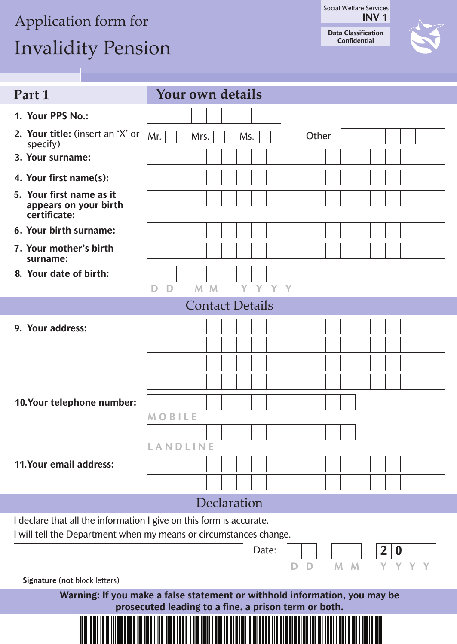# Application form for

# Invalidity Pension

**INV 1** Social Welfare Services **Data Classification**

**Confidential**

| Part 1                                                              | <b>Your own details</b>                                                    |
|---------------------------------------------------------------------|----------------------------------------------------------------------------|
| 1. Your PPS No.:                                                    |                                                                            |
| 2. Your title: (insert an 'X' or<br>specify)                        | Mr.<br>Other<br>Mrs.<br>Ms.                                                |
| 3. Your surname:                                                    |                                                                            |
| 4. Your first name(s):                                              |                                                                            |
| 5. Your first name as it<br>appears on your birth<br>certificate:   |                                                                            |
| 6. Your birth surname:                                              |                                                                            |
| 7. Your mother's birth<br>surname:                                  |                                                                            |
| 8. Your date of birth:                                              |                                                                            |
|                                                                     | Y Y Y Y<br>M <sub>M</sub><br>D<br>D                                        |
|                                                                     | <b>Contact Details</b>                                                     |
| 9. Your address:                                                    |                                                                            |
|                                                                     |                                                                            |
|                                                                     |                                                                            |
|                                                                     |                                                                            |
| 10.Your telephone number:                                           |                                                                            |
|                                                                     | <b>MOBILE</b>                                                              |
|                                                                     | LANDLINE                                                                   |
| 11.Your email address:                                              |                                                                            |
|                                                                     |                                                                            |
|                                                                     |                                                                            |
|                                                                     | Declaration                                                                |
| I declare that all the information I give on this form is accurate. | I will tell the Department when my means or circumstances change.          |
|                                                                     | Date:<br>$\mathbf{2}$<br>$\boldsymbol{0}$<br>M<br>M<br>Y<br>Y<br>D<br>Y    |
| Signature (not block letters)                                       |                                                                            |
|                                                                     | Warning: If you make a false statement or withhold information, you may be |
|                                                                     | prosecuted leading to a fine, a prison term or both.                       |
|                                                                     |                                                                            |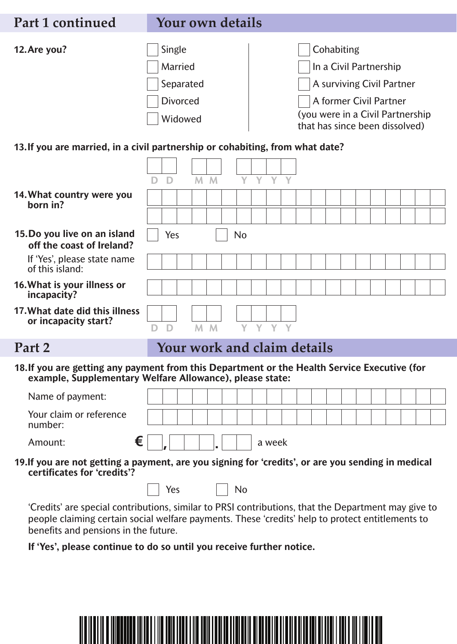### **Part 1 continued Your own details**



| Single    |  |
|-----------|--|
| Married   |  |
| Separated |  |
| Divorced  |  |
| Widowed   |  |

Cohabiting In a Civil Partnership A surviving Civil Partner A former Civil Partner (you were in a Civil Partnership that has since been dissolved)

#### **13.If you are married, in a civil partnership or cohabiting, from what date?**

|                                                                                                                                                          | D. | D              | M <sub>M</sub>              |   | Y.        | $\mathbf{Y}$ | $\mathbf{Y}$ |  |  |  |  |  |  |
|----------------------------------------------------------------------------------------------------------------------------------------------------------|----|----------------|-----------------------------|---|-----------|--------------|--------------|--|--|--|--|--|--|
| 14. What country were you<br>born in?                                                                                                                    |    |                |                             |   |           |              |              |  |  |  |  |  |  |
|                                                                                                                                                          |    |                |                             |   |           |              |              |  |  |  |  |  |  |
| 15. Do you live on an island<br>off the coast of Ireland?                                                                                                |    | Yes            |                             |   | <b>No</b> |              |              |  |  |  |  |  |  |
| If 'Yes', please state name<br>of this island:                                                                                                           |    |                |                             |   |           |              |              |  |  |  |  |  |  |
| 16. What is your illness or<br>incapacity?                                                                                                               |    |                |                             |   |           |              |              |  |  |  |  |  |  |
| 17. What date did this illness<br>or incapacity start?                                                                                                   |    | D <sub>D</sub> | M M                         |   |           | Y Y Y Y      |              |  |  |  |  |  |  |
| Part 2                                                                                                                                                   |    |                | Your work and claim details |   |           |              |              |  |  |  |  |  |  |
| 18. If you are getting any payment from this Department or the Health Service Executive (for<br>example, Supplementary Welfare Allowance), please state: |    |                |                             |   |           |              |              |  |  |  |  |  |  |
| Name of payment:                                                                                                                                         |    |                |                             |   |           |              |              |  |  |  |  |  |  |
| Your claim or reference<br>number:                                                                                                                       |    |                |                             |   |           |              |              |  |  |  |  |  |  |
| €<br>Amount:                                                                                                                                             |    |                |                             | ٠ |           |              | a week       |  |  |  |  |  |  |

**19.If you are not getting a payment, are you signing for 'credits', or are you sending in medical certificates for 'credits'?**

| Yes | No |
|-----|----|
|-----|----|

'Credits' are special contributions, similar to PRSI contributions, that the Department may give to people claiming certain social welfare payments. These 'credits' help to protect entitlements to benefits and pensions in the future.

#### **If 'Yes', please continue to do so until you receive further notice.**

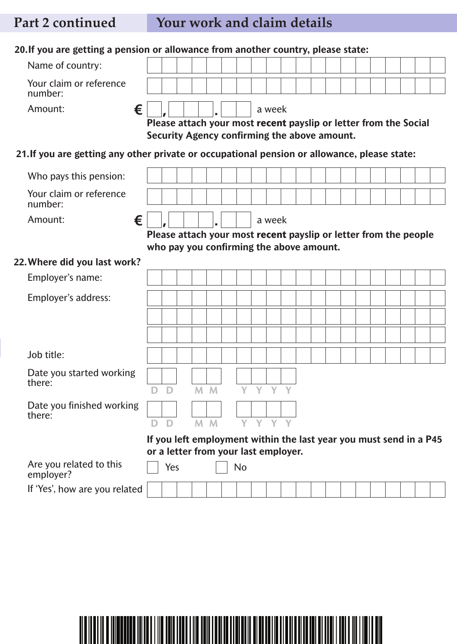## **Part 2 continued Your work and claim details**

| 20. If you are getting a pension or allowance from another country, please state:            |   |     |  |                |                                              |              |         |  |  |  |  |                                                                    |  |
|----------------------------------------------------------------------------------------------|---|-----|--|----------------|----------------------------------------------|--------------|---------|--|--|--|--|--------------------------------------------------------------------|--|
| Name of country:                                                                             |   |     |  |                |                                              |              |         |  |  |  |  |                                                                    |  |
| Your claim or reference<br>number:                                                           |   |     |  |                |                                              |              |         |  |  |  |  |                                                                    |  |
| €<br>Amount:                                                                                 |   |     |  |                |                                              |              | a week  |  |  |  |  |                                                                    |  |
|                                                                                              |   |     |  |                |                                              |              |         |  |  |  |  | Please attach your most recent payslip or letter from the Social   |  |
|                                                                                              |   |     |  |                | Security Agency confirming the above amount. |              |         |  |  |  |  |                                                                    |  |
| 21. If you are getting any other private or occupational pension or allowance, please state: |   |     |  |                |                                              |              |         |  |  |  |  |                                                                    |  |
| Who pays this pension:                                                                       |   |     |  |                |                                              |              |         |  |  |  |  |                                                                    |  |
| Your claim or reference<br>number:                                                           |   |     |  |                |                                              |              |         |  |  |  |  |                                                                    |  |
| €<br>Amount:                                                                                 |   |     |  |                |                                              |              | a week  |  |  |  |  |                                                                    |  |
|                                                                                              |   |     |  |                |                                              |              |         |  |  |  |  | Please attach your most recent payslip or letter from the people   |  |
|                                                                                              |   |     |  |                | who pay you confirming the above amount.     |              |         |  |  |  |  |                                                                    |  |
| 22. Where did you last work?                                                                 |   |     |  |                |                                              |              |         |  |  |  |  |                                                                    |  |
| Employer's name:                                                                             |   |     |  |                |                                              |              |         |  |  |  |  |                                                                    |  |
| Employer's address:                                                                          |   |     |  |                |                                              |              |         |  |  |  |  |                                                                    |  |
|                                                                                              |   |     |  |                |                                              |              |         |  |  |  |  |                                                                    |  |
|                                                                                              |   |     |  |                |                                              |              |         |  |  |  |  |                                                                    |  |
|                                                                                              |   |     |  |                |                                              |              |         |  |  |  |  |                                                                    |  |
| Job title:                                                                                   |   |     |  |                |                                              |              |         |  |  |  |  |                                                                    |  |
| Date you started working<br>there:                                                           |   |     |  |                |                                              |              |         |  |  |  |  |                                                                    |  |
|                                                                                              | D | D   |  | M M            | Y                                            | $\mathbf{Y}$ | Y       |  |  |  |  |                                                                    |  |
| Date you finished working                                                                    |   |     |  |                |                                              |              |         |  |  |  |  |                                                                    |  |
| there:                                                                                       |   | D   |  | M <sub>M</sub> |                                              |              | Y Y Y Y |  |  |  |  |                                                                    |  |
|                                                                                              |   |     |  |                |                                              |              |         |  |  |  |  | If you left employment within the last year you must send in a P45 |  |
|                                                                                              |   |     |  |                | or a letter from your last employer.         |              |         |  |  |  |  |                                                                    |  |
| Are you related to this<br>employer?                                                         |   | Yes |  |                | <b>No</b>                                    |              |         |  |  |  |  |                                                                    |  |
| If 'Yes', how are you related                                                                |   |     |  |                |                                              |              |         |  |  |  |  |                                                                    |  |

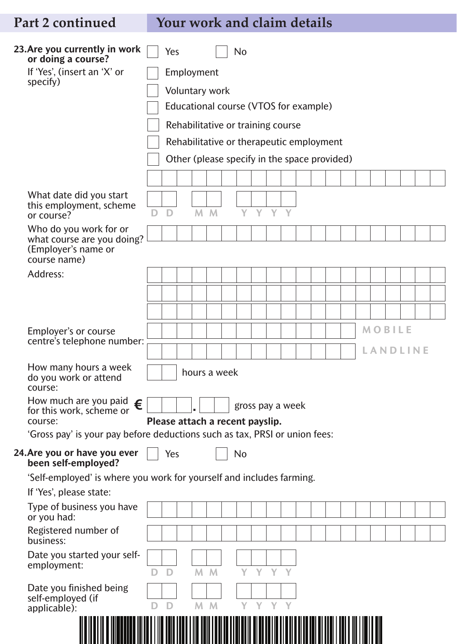## **Part 2 continued Your work and claim details**

| 23. Are you currently in work<br>or doing a course?                                   |                                 | Yes |                       |   |              | No                                           |   |       |   |  |  |  |               |                 |  |
|---------------------------------------------------------------------------------------|---------------------------------|-----|-----------------------|---|--------------|----------------------------------------------|---|-------|---|--|--|--|---------------|-----------------|--|
| If 'Yes', (insert an 'X' or                                                           |                                 |     | Employment            |   |              |                                              |   |       |   |  |  |  |               |                 |  |
| specify)                                                                              |                                 |     | <b>Voluntary work</b> |   |              |                                              |   |       |   |  |  |  |               |                 |  |
|                                                                                       |                                 |     |                       |   |              | Educational course (VTOS for example)        |   |       |   |  |  |  |               |                 |  |
|                                                                                       |                                 |     |                       |   |              | Rehabilitative or training course            |   |       |   |  |  |  |               |                 |  |
|                                                                                       |                                 |     |                       |   |              |                                              |   |       |   |  |  |  |               |                 |  |
|                                                                                       |                                 |     |                       |   |              | Rehabilitative or therapeutic employment     |   |       |   |  |  |  |               |                 |  |
|                                                                                       |                                 |     |                       |   |              | Other (please specify in the space provided) |   |       |   |  |  |  |               |                 |  |
|                                                                                       |                                 |     |                       |   |              |                                              |   |       |   |  |  |  |               |                 |  |
| What date did you start<br>this employment, scheme<br>or course?                      |                                 | D   | M                     | M |              | Y                                            |   | Y Y Y |   |  |  |  |               |                 |  |
| Who do you work for or                                                                |                                 |     |                       |   |              |                                              |   |       |   |  |  |  |               |                 |  |
| what course are you doing?<br>(Employer's name or<br>course name)                     |                                 |     |                       |   |              |                                              |   |       |   |  |  |  |               |                 |  |
| Address:                                                                              |                                 |     |                       |   |              |                                              |   |       |   |  |  |  |               |                 |  |
|                                                                                       |                                 |     |                       |   |              |                                              |   |       |   |  |  |  |               |                 |  |
|                                                                                       |                                 |     |                       |   |              |                                              |   |       |   |  |  |  |               |                 |  |
|                                                                                       |                                 |     |                       |   |              |                                              |   |       |   |  |  |  |               |                 |  |
| Employer's or course<br>centre's telephone number:                                    |                                 |     |                       |   |              |                                              |   |       |   |  |  |  | <b>MOBILE</b> |                 |  |
|                                                                                       |                                 |     |                       |   |              |                                              |   |       |   |  |  |  |               | <b>LANDLINE</b> |  |
| How many hours a week<br>do you work or attend<br>course:                             |                                 |     |                       |   | hours a week |                                              |   |       |   |  |  |  |               |                 |  |
| How much are you paid<br>€<br>for this work, scheme or                                |                                 |     |                       |   |              | gross pay a week                             |   |       |   |  |  |  |               |                 |  |
| course:<br>'Gross pay' is your pay before deductions such as tax, PRSI or union fees: | Please attach a recent payslip. |     |                       |   |              |                                              |   |       |   |  |  |  |               |                 |  |
| 24. Are you or have you ever                                                          |                                 | Yes |                       |   |              | No                                           |   |       |   |  |  |  |               |                 |  |
| been self-employed?                                                                   |                                 |     |                       |   |              |                                              |   |       |   |  |  |  |               |                 |  |
| 'Self-employed' is where you work for yourself and includes farming.                  |                                 |     |                       |   |              |                                              |   |       |   |  |  |  |               |                 |  |
| If 'Yes', please state:<br>Type of business you have                                  |                                 |     |                       |   |              |                                              |   |       |   |  |  |  |               |                 |  |
| or you had:                                                                           |                                 |     |                       |   |              |                                              |   |       |   |  |  |  |               |                 |  |
| Registered number of<br>business:                                                     |                                 |     |                       |   |              |                                              |   |       |   |  |  |  |               |                 |  |
| Date you started your self-<br>employment:                                            | D                               | D   | M <sub>M</sub>        |   |              | Y                                            |   | Y Y Y |   |  |  |  |               |                 |  |
| Date you finished being<br>self-employed (if<br>applicable):                          |                                 |     | M                     | M |              | Y                                            | Y |       | Y |  |  |  |               |                 |  |
|                                                                                       |                                 |     |                       |   |              |                                              |   |       |   |  |  |  |               |                 |  |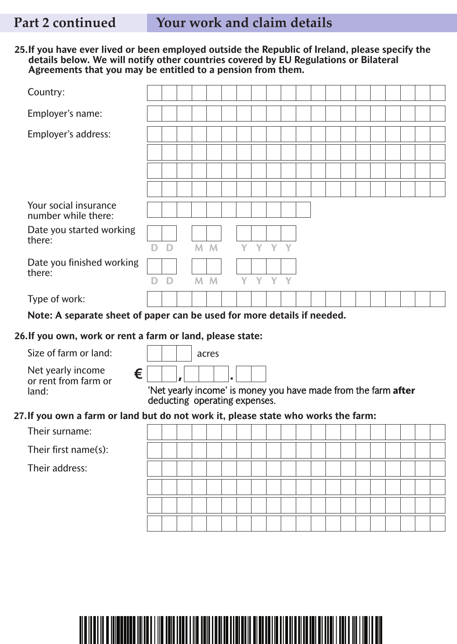#### **25.If you have ever lived or been employed outside the Republic of Ireland, please specify the details below. We will notify other countries covered by EU Regulations or Bilateral Agreements that you may be entitled to a pension from them.**

| Country:                                                                           |   |   |                               |                |   |   |       |  |                                                                |  |  |  |  |
|------------------------------------------------------------------------------------|---|---|-------------------------------|----------------|---|---|-------|--|----------------------------------------------------------------|--|--|--|--|
| Employer's name:                                                                   |   |   |                               |                |   |   |       |  |                                                                |  |  |  |  |
| Employer's address:                                                                |   |   |                               |                |   |   |       |  |                                                                |  |  |  |  |
|                                                                                    |   |   |                               |                |   |   |       |  |                                                                |  |  |  |  |
|                                                                                    |   |   |                               |                |   |   |       |  |                                                                |  |  |  |  |
|                                                                                    |   |   |                               |                |   |   |       |  |                                                                |  |  |  |  |
| Your social insurance<br>number while there:                                       |   |   |                               |                |   |   |       |  |                                                                |  |  |  |  |
| Date you started working                                                           |   |   |                               |                |   |   |       |  |                                                                |  |  |  |  |
| there:                                                                             | D | D |                               | M <sub>M</sub> | Y |   | Y Y Y |  |                                                                |  |  |  |  |
| Date you finished working<br>there:                                                |   |   |                               |                |   |   |       |  |                                                                |  |  |  |  |
|                                                                                    | D | D |                               | M <sub>M</sub> | Y | Y | Y Y   |  |                                                                |  |  |  |  |
| Type of work:                                                                      |   |   |                               |                |   |   |       |  |                                                                |  |  |  |  |
| Note: A separate sheet of paper can be used for more details if needed.            |   |   |                               |                |   |   |       |  |                                                                |  |  |  |  |
| 26. If you own, work or rent a farm or land, please state:                         |   |   |                               |                |   |   |       |  |                                                                |  |  |  |  |
|                                                                                    |   |   |                               |                |   |   |       |  |                                                                |  |  |  |  |
| Size of farm or land:                                                              |   |   |                               | acres          |   |   |       |  |                                                                |  |  |  |  |
| Net yearly income                                                                  |   |   |                               |                |   |   |       |  |                                                                |  |  |  |  |
| €<br>or rent from farm or<br>land:                                                 |   |   | deducting operating expenses. |                |   |   |       |  | 'Net yearly income' is money you have made from the farm after |  |  |  |  |
|                                                                                    |   |   |                               |                |   |   |       |  |                                                                |  |  |  |  |
| Their surname:                                                                     |   |   |                               |                |   |   |       |  |                                                                |  |  |  |  |
| Their first name(s):                                                               |   |   |                               |                |   |   |       |  |                                                                |  |  |  |  |
| Their address:                                                                     |   |   |                               |                |   |   |       |  |                                                                |  |  |  |  |
|                                                                                    |   |   |                               |                |   |   |       |  |                                                                |  |  |  |  |
|                                                                                    |   |   |                               |                |   |   |       |  |                                                                |  |  |  |  |
| 27. If you own a farm or land but do not work it, please state who works the farm: |   |   |                               |                |   |   |       |  |                                                                |  |  |  |  |

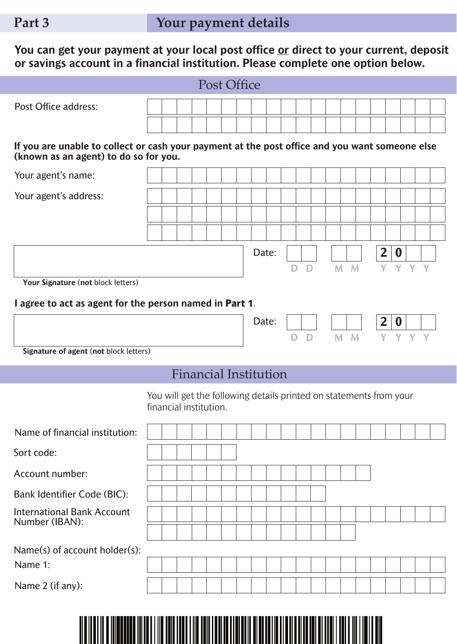**You can get your payment at your local post office or direct to your current, deposit or savings account in a financial institution. Please complete one option below.**

|                                                                                                                                         |                                                                                              |  |                              | <b>Post Office</b> |       |   |   |                |         |                |                        |         |  |
|-----------------------------------------------------------------------------------------------------------------------------------------|----------------------------------------------------------------------------------------------|--|------------------------------|--------------------|-------|---|---|----------------|---------|----------------|------------------------|---------|--|
| <b>Post Office address:</b>                                                                                                             |                                                                                              |  |                              |                    |       |   |   |                |         |                |                        |         |  |
| If you are unable to collect or cash your payment at the post office and you want someone else<br>(known as an agent) to do so for you. |                                                                                              |  |                              |                    |       |   |   |                |         |                |                        |         |  |
| Your agent's name:                                                                                                                      |                                                                                              |  |                              |                    |       |   |   |                |         |                |                        |         |  |
| Your agent's address:                                                                                                                   |                                                                                              |  |                              |                    |       |   |   |                |         |                |                        |         |  |
|                                                                                                                                         |                                                                                              |  |                              |                    |       |   |   |                |         |                |                        |         |  |
|                                                                                                                                         |                                                                                              |  |                              |                    |       |   |   |                |         |                |                        |         |  |
|                                                                                                                                         |                                                                                              |  |                              |                    | Date: | D | D |                | $M$ $M$ | $\overline{2}$ | $\boldsymbol{0}$       | Y Y Y Y |  |
| Your Signature (not block letters)                                                                                                      |                                                                                              |  |                              |                    |       |   |   |                |         |                |                        |         |  |
| I agree to act as agent for the person named in Part 1.                                                                                 |                                                                                              |  |                              |                    |       |   |   |                |         |                |                        |         |  |
|                                                                                                                                         |                                                                                              |  |                              |                    | Date: |   |   | D <sub>1</sub> | $M$ $M$ | $\mathbf{2}$   | $\boldsymbol{0}$<br>Y. | Y.      |  |
| Signature of agent (not block letters)                                                                                                  |                                                                                              |  |                              |                    |       |   |   |                |         |                |                        |         |  |
|                                                                                                                                         |                                                                                              |  | <b>Financial Institution</b> |                    |       |   |   |                |         |                |                        |         |  |
|                                                                                                                                         | You will get the following details printed on statements from your<br>financial institution. |  |                              |                    |       |   |   |                |         |                |                        |         |  |
| Name of financial institution:                                                                                                          |                                                                                              |  |                              |                    |       |   |   |                |         |                |                        |         |  |
| Sort code:                                                                                                                              |                                                                                              |  |                              |                    |       |   |   |                |         |                |                        |         |  |
| Account number:                                                                                                                         |                                                                                              |  |                              |                    |       |   |   |                |         |                |                        |         |  |
| <b>Bank Identifier Code (BIC):</b>                                                                                                      |                                                                                              |  |                              |                    |       |   |   |                |         |                |                        |         |  |
| <b>International Bank Account</b><br>Number (IBAN):                                                                                     |                                                                                              |  |                              |                    |       |   |   |                |         |                |                        |         |  |
|                                                                                                                                         |                                                                                              |  |                              |                    |       |   |   |                |         |                |                        |         |  |
| Name(s) of account holder(s):                                                                                                           |                                                                                              |  |                              |                    |       |   |   |                |         |                |                        |         |  |
| Name 1:                                                                                                                                 |                                                                                              |  |                              |                    |       |   |   |                |         |                |                        |         |  |
| Name 2 (if any):                                                                                                                        |                                                                                              |  |                              |                    |       |   |   |                |         |                |                        |         |  |
|                                                                                                                                         |                                                                                              |  |                              |                    |       |   |   |                |         |                |                        |         |  |

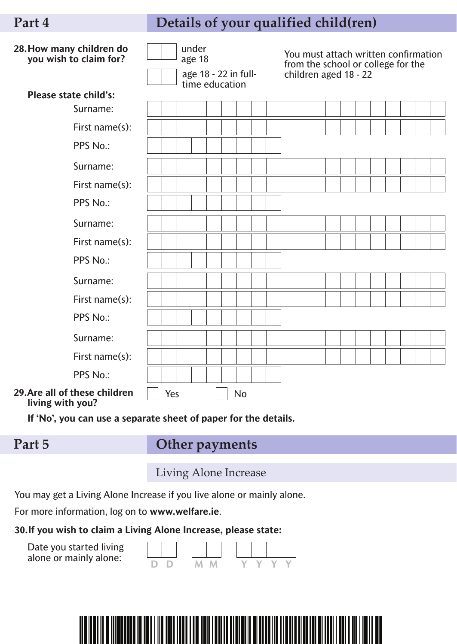### **Part 4 Details of your qualified child(ren)**

| 28. How many children do<br>you wish to claim for? |     | under<br>age 18<br>age 18 - 22 in full-<br>time education |  |  |           |  |  | You must attach written confirmation<br>from the school or college for the<br>children aged 18 - 22 |  |  |  |  |  |
|----------------------------------------------------|-----|-----------------------------------------------------------|--|--|-----------|--|--|-----------------------------------------------------------------------------------------------------|--|--|--|--|--|
| <b>Please state child's:</b>                       |     |                                                           |  |  |           |  |  |                                                                                                     |  |  |  |  |  |
| Surname:                                           |     |                                                           |  |  |           |  |  |                                                                                                     |  |  |  |  |  |
| First name(s):                                     |     |                                                           |  |  |           |  |  |                                                                                                     |  |  |  |  |  |
| PPS No.:                                           |     |                                                           |  |  |           |  |  |                                                                                                     |  |  |  |  |  |
| Surname:                                           |     |                                                           |  |  |           |  |  |                                                                                                     |  |  |  |  |  |
| First name(s):                                     |     |                                                           |  |  |           |  |  |                                                                                                     |  |  |  |  |  |
| PPS No.:                                           |     |                                                           |  |  |           |  |  |                                                                                                     |  |  |  |  |  |
| Surname:                                           |     |                                                           |  |  |           |  |  |                                                                                                     |  |  |  |  |  |
| First name(s):                                     |     |                                                           |  |  |           |  |  |                                                                                                     |  |  |  |  |  |
| PPS No.:                                           |     |                                                           |  |  |           |  |  |                                                                                                     |  |  |  |  |  |
| Surname:                                           |     |                                                           |  |  |           |  |  |                                                                                                     |  |  |  |  |  |
| First name(s):                                     |     |                                                           |  |  |           |  |  |                                                                                                     |  |  |  |  |  |
| PPS No.:                                           |     |                                                           |  |  |           |  |  |                                                                                                     |  |  |  |  |  |
| Surname:                                           |     |                                                           |  |  |           |  |  |                                                                                                     |  |  |  |  |  |
| First name(s):                                     |     |                                                           |  |  |           |  |  |                                                                                                     |  |  |  |  |  |
| PPS No.:                                           |     |                                                           |  |  |           |  |  |                                                                                                     |  |  |  |  |  |
| 29. Are all of these children<br>living with you?  | Yes |                                                           |  |  | <b>No</b> |  |  |                                                                                                     |  |  |  |  |  |

**If 'No', you can use a separate sheet of paper for the details.**

### **Part 5**

### **Other payments**

Living Alone Increase

You may get a Living Alone Increase if you live alone or mainly alone.

For more information, log on to **www.welfare.ie**.

#### **30.If you wish to claim a Living Alone Increase, please state:**

Date you started living alone or mainly alone:



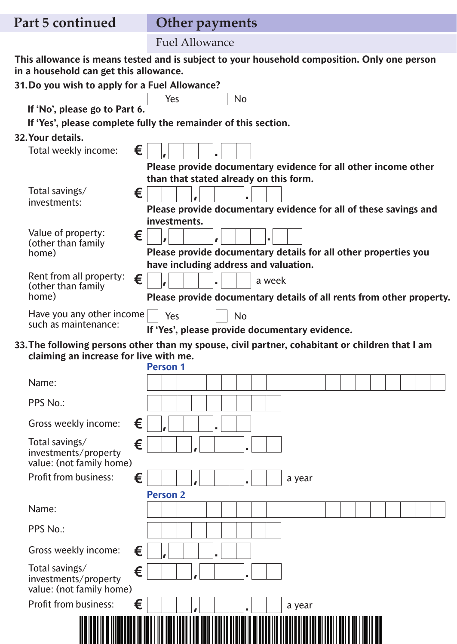|  | Part 5 continued |  |
|--|------------------|--|
|--|------------------|--|

## **Other** payments

Fuel Allowance

**This allowance is means tested and is subject to your household composition. Only one person in a household can get this allowance.**

| 31. Do you wish to apply for a Fuel Allowance?                          |                                                                |                                                                                                 |
|-------------------------------------------------------------------------|----------------------------------------------------------------|-------------------------------------------------------------------------------------------------|
| If 'No', please go to Part 6.                                           | Yes<br><b>No</b>                                               |                                                                                                 |
|                                                                         | If 'Yes', please complete fully the remainder of this section. |                                                                                                 |
| 32. Your details.                                                       |                                                                |                                                                                                 |
| €<br>Total weekly income:                                               |                                                                |                                                                                                 |
|                                                                         |                                                                | Please provide documentary evidence for all other income other                                  |
|                                                                         | than that stated already on this form.                         |                                                                                                 |
| Total savings/<br>€<br>investments:                                     |                                                                |                                                                                                 |
|                                                                         |                                                                | Please provide documentary evidence for all of these savings and                                |
| Value of property:                                                      | investments.                                                   |                                                                                                 |
| €<br>(other than family                                                 |                                                                |                                                                                                 |
| home)                                                                   |                                                                | Please provide documentary details for all other properties you                                 |
| Rent from all property:                                                 | have including address and valuation.                          |                                                                                                 |
| €<br>(other than family                                                 | a week                                                         |                                                                                                 |
| home)                                                                   |                                                                | Please provide documentary details of all rents from other property.                            |
| Have you any other income                                               | Yes<br><b>No</b>                                               |                                                                                                 |
| such as maintenance:                                                    | If 'Yes', please provide documentary evidence.                 |                                                                                                 |
|                                                                         |                                                                | 33. The following persons other than my spouse, civil partner, cohabitant or children that I am |
| claiming an increase for live with me.                                  | <b>Person 1</b>                                                |                                                                                                 |
|                                                                         |                                                                |                                                                                                 |
| Name:                                                                   |                                                                |                                                                                                 |
| PPS No.:                                                                |                                                                |                                                                                                 |
| €<br>Gross weekly income:                                               |                                                                |                                                                                                 |
| Total savings/<br>€<br>investments/property<br>value: (not family home) |                                                                |                                                                                                 |
| <b>Profit from business:</b><br>€                                       |                                                                | a year                                                                                          |
|                                                                         | <b>Person 2</b>                                                |                                                                                                 |
| Name:                                                                   |                                                                |                                                                                                 |
| PPS No.:                                                                |                                                                |                                                                                                 |
| Gross weekly income:<br>€                                               |                                                                |                                                                                                 |
| Total savings/<br>€<br>investments/property<br>value: (not family home) |                                                                |                                                                                                 |
| €<br><b>Profit from business:</b>                                       |                                                                | a year                                                                                          |
|                                                                         |                                                                |                                                                                                 |

<u> Aleksand da kasar sa kasar sa kasar sa kasar sa kasar sa kasar sa kasar sa kasar sa kasar sa kasar sa kasar</u>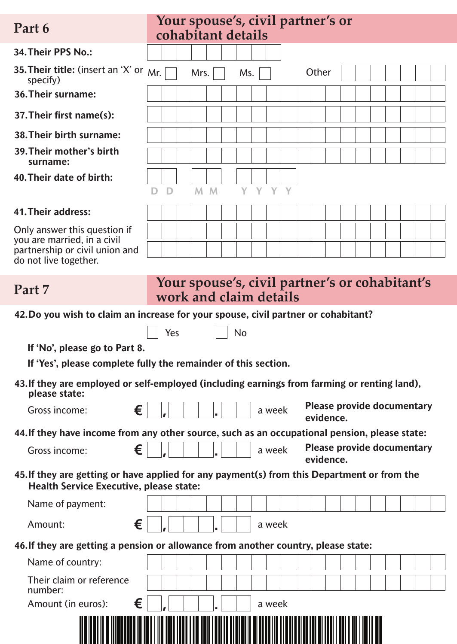| Part 6                                                                             | Your spouse's, civil partner's or<br>cohabitant details                                       |                                   |  |  |  |
|------------------------------------------------------------------------------------|-----------------------------------------------------------------------------------------------|-----------------------------------|--|--|--|
| 34. Their PPS No.:                                                                 |                                                                                               |                                   |  |  |  |
| 35. Their title: (insert an 'X' or $Mr.$<br>specify)                               | Mrs.<br>Other<br>Ms.                                                                          |                                   |  |  |  |
| 36. Their surname:                                                                 |                                                                                               |                                   |  |  |  |
| 37. Their first name(s):                                                           |                                                                                               |                                   |  |  |  |
| 38. Their birth surname:                                                           |                                                                                               |                                   |  |  |  |
| 39. Their mother's birth<br>surname:                                               |                                                                                               |                                   |  |  |  |
| 40. Their date of birth:                                                           |                                                                                               |                                   |  |  |  |
|                                                                                    | Y Y Y Y<br>M <sub>M</sub><br>D                                                                |                                   |  |  |  |
| 41. Their address:                                                                 |                                                                                               |                                   |  |  |  |
| Only answer this question if<br>you are married, in a civil                        |                                                                                               |                                   |  |  |  |
| partnership or civil union and<br>do not live together.                            |                                                                                               |                                   |  |  |  |
|                                                                                    |                                                                                               |                                   |  |  |  |
| Part 7                                                                             | Your spouse's, civil partner's or cohabitant's<br>work and claim details                      |                                   |  |  |  |
|                                                                                    | 42. Do you wish to claim an increase for your spouse, civil partner or cohabitant?            |                                   |  |  |  |
|                                                                                    | <b>No</b><br>Yes                                                                              |                                   |  |  |  |
| If 'No', please go to Part 8.                                                      |                                                                                               |                                   |  |  |  |
| If 'Yes', please complete fully the remainder of this section.                     |                                                                                               |                                   |  |  |  |
| please state:                                                                      | 43. If they are employed or self-employed (including earnings from farming or renting land),  |                                   |  |  |  |
| €<br>Gross income:                                                                 | a week<br>evidence.                                                                           | <b>Please provide documentary</b> |  |  |  |
|                                                                                    | 44. If they have income from any other source, such as an occupational pension, please state: |                                   |  |  |  |
| €<br>Gross income:                                                                 | a week<br>evidence.                                                                           | <b>Please provide documentary</b> |  |  |  |
| <b>Health Service Executive, please state:</b>                                     | 45. If they are getting or have applied for any payment(s) from this Department or from the   |                                   |  |  |  |
| Name of payment:                                                                   |                                                                                               |                                   |  |  |  |
| €<br>Amount:                                                                       | a week                                                                                        |                                   |  |  |  |
| 46. If they are getting a pension or allowance from another country, please state: |                                                                                               |                                   |  |  |  |
| Name of country:                                                                   |                                                                                               |                                   |  |  |  |
|                                                                                    |                                                                                               |                                   |  |  |  |
| Their claim or reference<br>number:<br>€<br>Amount (in euros):                     |                                                                                               |                                   |  |  |  |

| <u>HELLEN HELLEN OLI HELLEN HELLEN HELLEN HELLEN HELLEN HELLEN HELLEN HELLEN HELLEN HELLEN HELLEN HELLEN HELLEN </u> |  |
|----------------------------------------------------------------------------------------------------------------------|--|